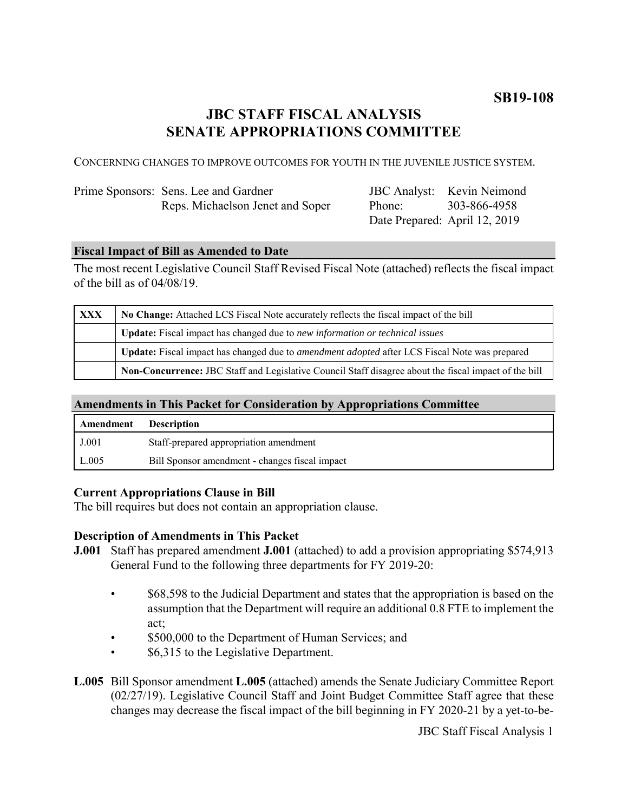# **JBC STAFF FISCAL ANALYSIS SENATE APPROPRIATIONS COMMITTEE**

CONCERNING CHANGES TO IMPROVE OUTCOMES FOR YOUTH IN THE JUVENILE JUSTICE SYSTEM.

| Prime Sponsors: Sens. Lee and Gardner |
|---------------------------------------|
| Reps. Michaelson Jenet and Soper      |

JBC Analyst: Kevin Neimond Phone: Date Prepared: April 12, 2019 303-866-4958

#### **Fiscal Impact of Bill as Amended to Date**

The most recent Legislative Council Staff Revised Fiscal Note (attached) reflects the fiscal impact of the bill as of 04/08/19.

| XXX | No Change: Attached LCS Fiscal Note accurately reflects the fiscal impact of the bill                 |  |
|-----|-------------------------------------------------------------------------------------------------------|--|
|     | <b>Update:</b> Fiscal impact has changed due to new information or technical issues                   |  |
|     | Update: Fiscal impact has changed due to <i>amendment adopted</i> after LCS Fiscal Note was prepared  |  |
|     | Non-Concurrence: JBC Staff and Legislative Council Staff disagree about the fiscal impact of the bill |  |

# **Amendments in This Packet for Consideration by Appropriations Committee**

| <b>Amendment</b> Description |                                                |
|------------------------------|------------------------------------------------|
| J.001                        | Staff-prepared appropriation amendment         |
| L.005                        | Bill Sponsor amendment - changes fiscal impact |

#### **Current Appropriations Clause in Bill**

The bill requires but does not contain an appropriation clause.

### **Description of Amendments in This Packet**

- **J.001** Staff has prepared amendment **J.001** (attached) to add a provision appropriating \$574,913 General Fund to the following three departments for FY 2019-20:
	- \$68,598 to the Judicial Department and states that the appropriation is based on the assumption that the Department will require an additional 0.8 FTE to implement the act;
	- \$500,000 to the Department of Human Services; and
	- \$6,315 to the Legislative Department.

**L.005** Bill Sponsor amendment **L.005** (attached) amends the Senate Judiciary Committee Report (02/27/19). Legislative Council Staff and Joint Budget Committee Staff agree that these changes may decrease the fiscal impact of the bill beginning in FY 2020-21 by a yet-to-be-

JBC Staff Fiscal Analysis 1